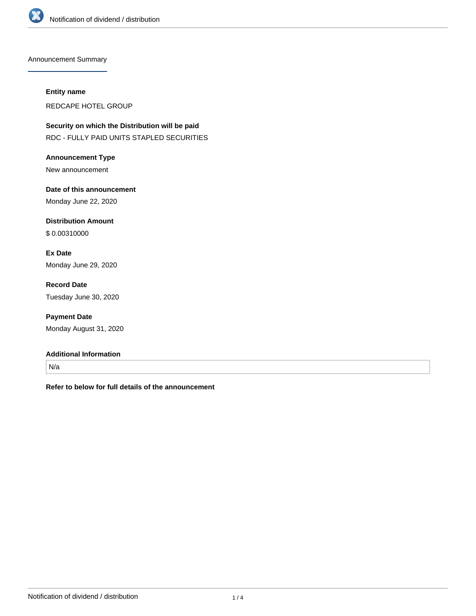

Announcement Summary

#### **Entity name**

REDCAPE HOTEL GROUP

**Security on which the Distribution will be paid** RDC - FULLY PAID UNITS STAPLED SECURITIES

**Announcement Type** New announcement

**Date of this announcement** Monday June 22, 2020

**Distribution Amount** \$ 0.00310000

**Ex Date** Monday June 29, 2020

**Record Date** Tuesday June 30, 2020

**Payment Date** Monday August 31, 2020

#### **Additional Information**

N/a

**Refer to below for full details of the announcement**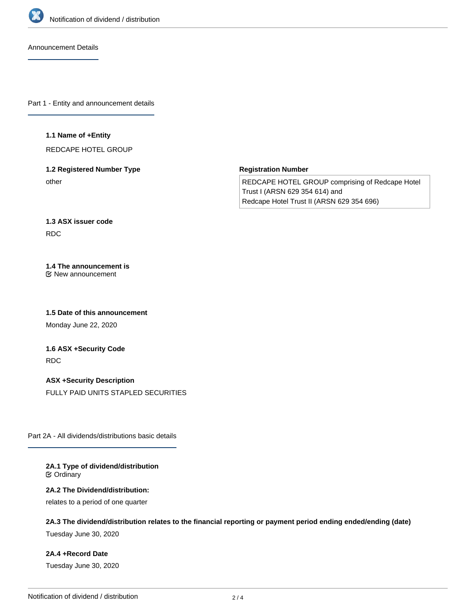

Announcement Details

Part 1 - Entity and announcement details

#### **1.1 Name of +Entity**

REDCAPE HOTEL GROUP

# **1.2 Registered Number Type** other

**Registration Number**

REDCAPE HOTEL GROUP comprising of Redcape Hotel Trust I (ARSN 629 354 614) and Redcape Hotel Trust II (ARSN 629 354 696)

# **1.3 ASX issuer code** RDC

#### **1.4 The announcement is** New announcement

**1.5 Date of this announcement**

Monday June 22, 2020

# **1.6 ASX +Security Code** RDC

**ASX +Security Description** FULLY PAID UNITS STAPLED SECURITIES

Part 2A - All dividends/distributions basic details

#### **2A.1 Type of dividend/distribution C** Ordinary

## **2A.2 The Dividend/distribution:**

relates to a period of one quarter

# **2A.3 The dividend/distribution relates to the financial reporting or payment period ending ended/ending (date)**

Tuesday June 30, 2020

## **2A.4 +Record Date**

Tuesday June 30, 2020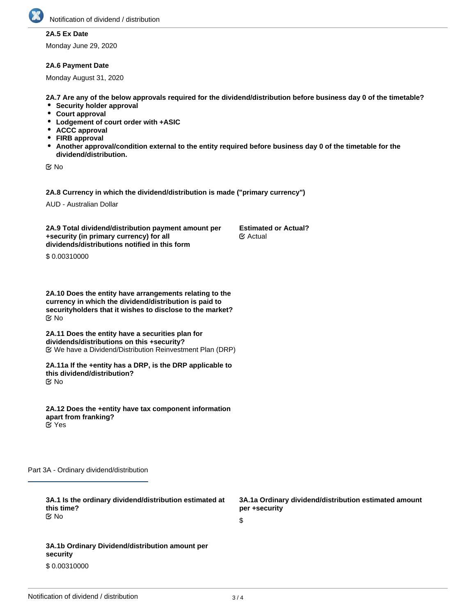

# **2A.5 Ex Date**

Monday June 29, 2020

#### **2A.6 Payment Date**

Monday August 31, 2020

**2A.7 Are any of the below approvals required for the dividend/distribution before business day 0 of the timetable?**

- **Security holder approval**
- **Court approval**
- **Lodgement of court order with +ASIC**
- **ACCC approval**
- **FIRB approval**
- **Another approval/condition external to the entity required before business day 0 of the timetable for the dividend/distribution.**

No

**2A.8 Currency in which the dividend/distribution is made ("primary currency")**

AUD - Australian Dollar

**2A.9 Total dividend/distribution payment amount per +security (in primary currency) for all dividends/distributions notified in this form Estimated or Actual?** Actual

\$ 0.00310000

**2A.10 Does the entity have arrangements relating to the currency in which the dividend/distribution is paid to securityholders that it wishes to disclose to the market?** No

**2A.11 Does the entity have a securities plan for dividends/distributions on this +security?** We have a Dividend/Distribution Reinvestment Plan (DRP)

**2A.11a If the +entity has a DRP, is the DRP applicable to this dividend/distribution?** No

**2A.12 Does the +entity have tax component information apart from franking?** Yes

Part 3A - Ordinary dividend/distribution

**3A.1 Is the ordinary dividend/distribution estimated at this time? 3A.1a Ordinary dividend/distribution estimated amount per +security** \$ **3A.1b Ordinary Dividend/distribution amount per security** No

\$ 0.00310000